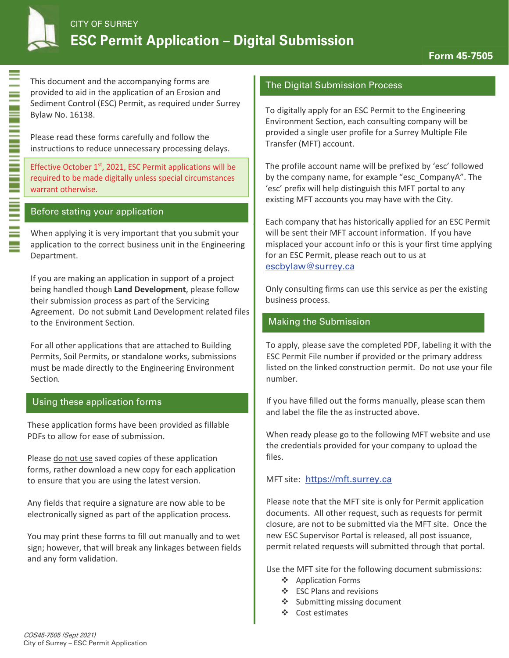

This document and the accompanying forms are provided to aid in the application of an Erosion and Sediment Control (ESC) Permit, as required under Surrey Bylaw No. 16138.

Please read these forms carefully and follow the in structions to reduce unnecessary processing delays.

Effective October 1<sup>st</sup>, 2021, ESC Permit applications will be required to be made digitally unless special circumstances warrant otherwise.

## Before stating your application

When applying it is very important that you submit your application to the correct business unit in the Engineering Department.

If you are making an application in support of a project being handled though Land Development, please follow their submission process as part of the Servicing Agreement. Do not submit Land Development related files to the Environment Section.

For all other applications that are attached to Building Permits, Soil Permits, or standalone works, submissions must be made directly to the Engineering Environment Section.

#### Using these application forms

These application forms have been provided as fillable PDEs to allow for ease of submission.

Please do not use saved copies of these application forms, rather download a new copy for each application to ensure that you are using the latest version.

Any fields that require a signature are now able to be electronically signed as part of the application process.

You may print these forms to fill out manually and to wet sign; however, that will break any linkages between fields and any form validation.

#### The Digital Submission Process

To digitally apply for an ESC Permit to the Engineering Environment Section, each consulting company will be provided a single user profile for a Surrey Multiple File Transfer (MFT) account.

The profile account name will be prefixed by 'esc' followed by the company name, for example "esc CompanyA". The 'esc' prefix will help distinguish this MFT portal to any existing MFT accounts you may have with the City.

Each company that has historically applied for an ESC Permit will be sent their MFT account information. If you have misplaced your account info or this is your first time applying for an ESC Permit, please reach out to us at escbylaw@surrey.ca

Only consulting firms can use this service as per the existing business process.

## Making the Submission

To apply, please save the completed PDF, labeling it with the ESC Permit File number if provided or the primary address listed on the linked construction permit. Do not use your file number.

If you have filled out the forms manually, please scan them and label the file the as instructed above.

When ready please go to the following MFT website and use the credentials provided for your company to upload the files.

## MFT site: https://mft.surrey.ca

Please note that the MFT site is only for Permit application documents. All other request, such as requests for permit closure, are not to be submitted via the MFT site. Once the new ESC Supervisor Portal is released, all post issuance, permit related requests will submitted through that portal.

Use the MFT site for the following document submissions:

- ❖ Application Forms
- $\div$  ESC Plans and revisions
- $\triangleleft$  Submitting missing document
- Cost estimates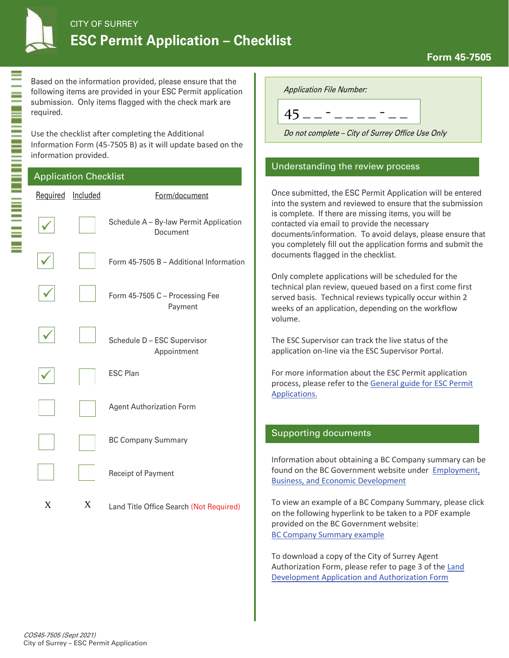

Based on the information provided, please ensure that the following items are provided in your ESC Permit application submission. Only items flagged with the check mark are required.

Use the checklist after completing the Additional Information Form (45-7505 B) as it will update based on the information provided.

| <b>Application Checklist</b> |          |                                                    |  |  |
|------------------------------|----------|----------------------------------------------------|--|--|
| Required                     | Included | Form/document                                      |  |  |
|                              |          | Schedule A - By-law Permit Application<br>Document |  |  |
|                              |          | Form 45-7505 B - Additional Information            |  |  |
|                              |          | Form 45-7505 C - Processing Fee<br>Payment         |  |  |
|                              |          | Schedule D - ESC Supervisor<br>Appointment         |  |  |
|                              |          | <b>ESC Plan</b>                                    |  |  |
|                              |          | <b>Agent Authorization Form</b>                    |  |  |
|                              |          | <b>BC Company Summary</b>                          |  |  |
|                              |          | Receipt of Payment                                 |  |  |
| X                            | X        | Land Title Office Search (Not Required)            |  |  |

**Application File Number:** 

 $45 - - - - - - - - - -$ 

Do not complete - City of Surrey Office Use Only

## Understanding the review process

Once submitted, the ESC Permit Application will be entered into the system and reviewed to ensure that the submission is complete. If there are missing items, you will be contacted via email to provide the necessary documents/information. To avoid delays, please ensure that you completely fill out the application forms and submit the documents flagged in the checklist.

Only complete applications will be scheduled for the te chnical plan review, queued based on a first come first served basis. Technical reviews typically occur within 2 weeks of an application, depending on the workflow volume.

The ESC Supervisor can track the live status of the application on-line via the ESC Supervisor Portal.

For more information about the ESC Permit application process, please refer to the General guide for ESC Permit Applications.

## Supporting documents

Information about obtaining a BC Company summary can be found on the BC Government website under Employment, Business, and Economic Development

To view an example of a BC Company Summary, please click on the following hyperlink to be taken to a PDF example provided on the BC Government website: BC Company Summary example

To download a copy of the City of Surrey Agent Authorization Form, please refer to page 3 of the Land Development Application and Authorization Form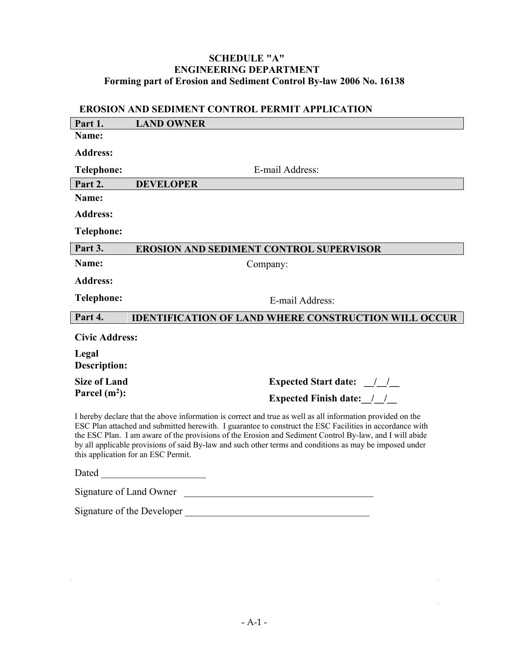# **SCHEDULE "A" ENGINEERING DEPARTMENT Forming part of Erosion and Sediment Control By-law 2006 No. 16138**

# **EROSION AND SEDIMENT CONTROL PERMIT APPLICATION**

| Part 1.                                                                                                                                                                                                                                                                                                                                                                                                                                                                             | <b>LAND OWNER</b>                                                                                                                                                                                                                                                                                                                                                                                   |  |  |  |
|-------------------------------------------------------------------------------------------------------------------------------------------------------------------------------------------------------------------------------------------------------------------------------------------------------------------------------------------------------------------------------------------------------------------------------------------------------------------------------------|-----------------------------------------------------------------------------------------------------------------------------------------------------------------------------------------------------------------------------------------------------------------------------------------------------------------------------------------------------------------------------------------------------|--|--|--|
| Name:                                                                                                                                                                                                                                                                                                                                                                                                                                                                               |                                                                                                                                                                                                                                                                                                                                                                                                     |  |  |  |
| <b>Address:</b>                                                                                                                                                                                                                                                                                                                                                                                                                                                                     |                                                                                                                                                                                                                                                                                                                                                                                                     |  |  |  |
| <b>Telephone:</b>                                                                                                                                                                                                                                                                                                                                                                                                                                                                   | E-mail Address:                                                                                                                                                                                                                                                                                                                                                                                     |  |  |  |
| Part 2.                                                                                                                                                                                                                                                                                                                                                                                                                                                                             | <b>DEVELOPER</b>                                                                                                                                                                                                                                                                                                                                                                                    |  |  |  |
| Name:                                                                                                                                                                                                                                                                                                                                                                                                                                                                               |                                                                                                                                                                                                                                                                                                                                                                                                     |  |  |  |
| <b>Address:</b>                                                                                                                                                                                                                                                                                                                                                                                                                                                                     |                                                                                                                                                                                                                                                                                                                                                                                                     |  |  |  |
| <b>Telephone:</b>                                                                                                                                                                                                                                                                                                                                                                                                                                                                   |                                                                                                                                                                                                                                                                                                                                                                                                     |  |  |  |
| Part 3.                                                                                                                                                                                                                                                                                                                                                                                                                                                                             | <b>EROSION AND SEDIMENT CONTROL SUPERVISOR</b>                                                                                                                                                                                                                                                                                                                                                      |  |  |  |
| Name:                                                                                                                                                                                                                                                                                                                                                                                                                                                                               | Company:                                                                                                                                                                                                                                                                                                                                                                                            |  |  |  |
| <b>Address:</b>                                                                                                                                                                                                                                                                                                                                                                                                                                                                     |                                                                                                                                                                                                                                                                                                                                                                                                     |  |  |  |
| <b>Telephone:</b>                                                                                                                                                                                                                                                                                                                                                                                                                                                                   | E-mail Address:                                                                                                                                                                                                                                                                                                                                                                                     |  |  |  |
| Part 4.<br><b>IDENTIFICATION OF LAND WHERE CONSTRUCTION WILL OCCUR</b>                                                                                                                                                                                                                                                                                                                                                                                                              |                                                                                                                                                                                                                                                                                                                                                                                                     |  |  |  |
| <b>Civic Address:</b>                                                                                                                                                                                                                                                                                                                                                                                                                                                               |                                                                                                                                                                                                                                                                                                                                                                                                     |  |  |  |
| Legal<br><b>Description:</b>                                                                                                                                                                                                                                                                                                                                                                                                                                                        |                                                                                                                                                                                                                                                                                                                                                                                                     |  |  |  |
| <b>Size of Land</b>                                                                                                                                                                                                                                                                                                                                                                                                                                                                 | Expected Start date: $\frac{1}{1-\frac{1}{1-\frac{1}{1-\frac{1}{1-\frac{1}{1-\frac{1}{1-\frac{1}{1-\frac{1}{1-\frac{1}{1-\frac{1}{1-\frac{1}{1-\frac{1}{1-\frac{1}{1-\frac{1}{1-\frac{1}{1-\frac{1}{1-\frac{1}{1-\frac{1}{1-\frac{1}{1-\frac{1}{1-\frac{1}{1-\frac{1}{1-\frac{1}{1-\frac{1}{1-\frac{1}{1-\frac{1}{1-\frac{1}{1-\frac{1}{1-\frac{1}{1-\frac{1}{1-\frac{1}{1-\frac{1}{1-\frac{1}{1-\$ |  |  |  |
| Parcel $(m2)$ :                                                                                                                                                                                                                                                                                                                                                                                                                                                                     | <b>Expected Finish date:</b> / /                                                                                                                                                                                                                                                                                                                                                                    |  |  |  |
| I hereby declare that the above information is correct and true as well as all information provided on the<br>ESC Plan attached and submitted herewith. I guarantee to construct the ESC Facilities in accordance with<br>the ESC Plan. I am aware of the provisions of the Erosion and Sediment Control By-law, and I will abide<br>by all applicable provisions of said By-law and such other terms and conditions as may be imposed under<br>this application for an ESC Permit. |                                                                                                                                                                                                                                                                                                                                                                                                     |  |  |  |
| Dated                                                                                                                                                                                                                                                                                                                                                                                                                                                                               |                                                                                                                                                                                                                                                                                                                                                                                                     |  |  |  |

Signature of Land Owner

Signature of the Developer \_\_\_\_\_\_\_\_\_\_\_\_\_\_\_\_\_\_\_\_\_\_\_\_\_\_\_\_\_\_\_\_\_\_\_\_\_

 $\bar{z}$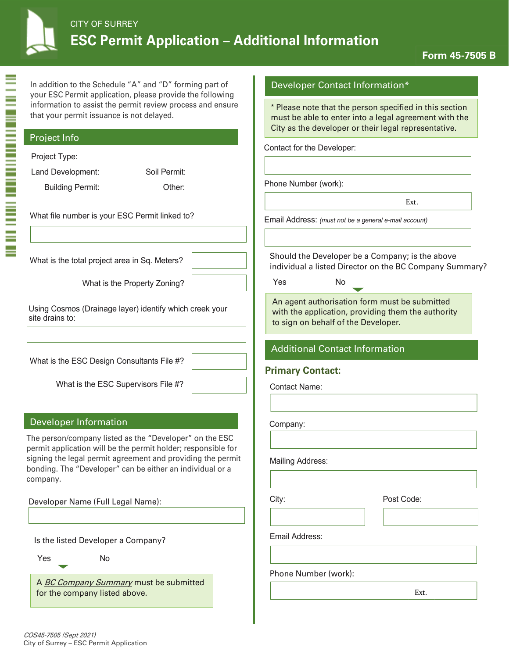| <b>CITY OF SURREY</b><br><b>ESC Permit Application - Additional Information</b>                                      |                                                                                                        |
|----------------------------------------------------------------------------------------------------------------------|--------------------------------------------------------------------------------------------------------|
| In addition to the Schedule "A" and "D" forming part of<br>your ESC Permit application, please provide the following | <b>Developer Contact Inform</b>                                                                        |
| information to assist the permit review process and ensure<br>that your permit issuance is not delayed.              | * Please note that the person s<br>must be able to enter into a le<br>City as the developer or their I |
| <b>Project Info</b>                                                                                                  | Contact for the Developer:                                                                             |

Phone Number (work):

Ext.

pecified in this section gal agreement with the egal representative.

ation\*

Email Address: *(must not be a general e-mail account)*

Should the Developer be a Company; is the above individual a listed Director on the BC Company Summary?

Yes No

An agent authorisation form must be submitted with the application, providing them the authority to sign on behalf of the Developer.

#### Additional Contact Information

#### **Primary Contact:**

Contact Name:

Company:

Mailing Address:

City: Post Code:

Email Address:

Phone Number (work):

Ext.

# Developer Name (Full Legal Name):

Developer Information

Is the listed Developer a Company?

company.

Project Type:

, **AND AN AN AN AN AN AN AN AN AN AN A** 

site drains to:

Land Development: Soil Permit: Building Permit: Other:

What file number is your ESC Permit linked to?

What is the total project area in Sq. Meters?

What is the ESC Design Consultants File #?

What is the ESC Supervisors File #?

The person/company listed as the "Developer" on the ESC permit application will be the permit holder; responsible for signing the legal permit agreement and providing the permit bonding. The "Developer" can be either an individual or a

What is the Property Zoning?

Using Cosmos (Drainage layer) identify which creek your

A *BC Company Summary* must be submitted for the company listed above.

**Form 45-7505 B**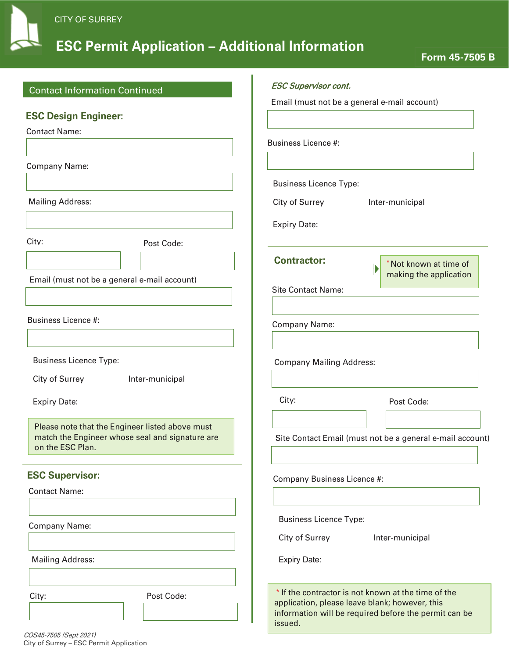

# **ESC Permit Application – Additional Information**

| <b>Contact Information Continued</b>                                                                                   | <b>ESC Supervisor cont.</b>                                                                                                                                               |
|------------------------------------------------------------------------------------------------------------------------|---------------------------------------------------------------------------------------------------------------------------------------------------------------------------|
|                                                                                                                        | Email (must not be a general e-mail account)                                                                                                                              |
| <b>ESC Design Engineer:</b>                                                                                            |                                                                                                                                                                           |
| <b>Contact Name:</b>                                                                                                   | <b>Business Licence #:</b>                                                                                                                                                |
| Company Name:                                                                                                          |                                                                                                                                                                           |
|                                                                                                                        | <b>Business Licence Type:</b>                                                                                                                                             |
| <b>Mailing Address:</b>                                                                                                | City of Surrey<br>Inter-municipal                                                                                                                                         |
|                                                                                                                        | <b>Expiry Date:</b>                                                                                                                                                       |
| City:<br>Post Code:                                                                                                    |                                                                                                                                                                           |
|                                                                                                                        | <b>Contractor:</b><br>Not known at time of<br>Þ<br>making the application                                                                                                 |
| Email (must not be a general e-mail account)                                                                           | <b>Site Contact Name:</b>                                                                                                                                                 |
| <b>Business Licence #:</b>                                                                                             | Company Name:                                                                                                                                                             |
| <b>Business Licence Type:</b>                                                                                          | <b>Company Mailing Address:</b>                                                                                                                                           |
| City of Surrey<br>Inter-municipal                                                                                      |                                                                                                                                                                           |
| <b>Expiry Date:</b>                                                                                                    | City:<br>Post Code:                                                                                                                                                       |
| Please note that the Engineer listed above must<br>match the Engineer whose seal and signature are<br>on the ESC Plan. | Site Contact Email (must not be a general e-mail account)                                                                                                                 |
| <b>ESC Supervisor:</b>                                                                                                 | Company Business Licence #:                                                                                                                                               |
| <b>Contact Name:</b>                                                                                                   |                                                                                                                                                                           |
| Company Name:                                                                                                          | <b>Business Licence Type:</b>                                                                                                                                             |
|                                                                                                                        | City of Surrey<br>Inter-municipal                                                                                                                                         |
| <b>Mailing Address:</b>                                                                                                | <b>Expiry Date:</b>                                                                                                                                                       |
| Post Code:<br>City:                                                                                                    | * If the contractor is not known at the time of the<br>application, please leave blank; however, this<br>information will be required before the permit can be<br>issued. |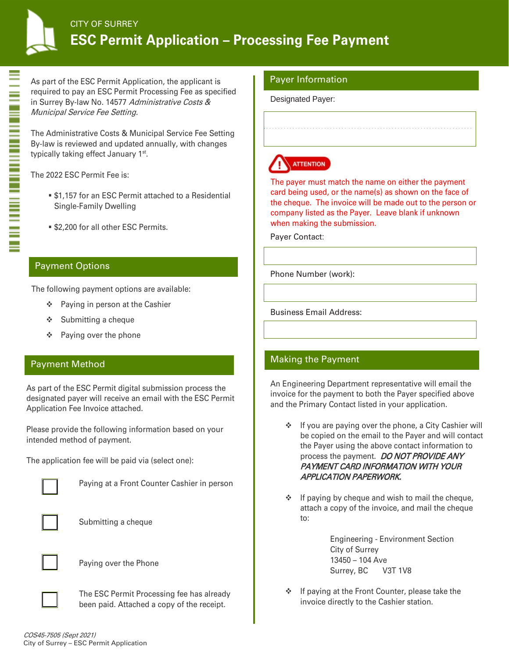

As part of the ESC Permit Application, the applicant is required to pay an ESC Permit Processing Fee as specified in Surrey By-law No. 14577 Administrative Costs & Municipal Service Fee Setting.

The Administrative Costs & Municipal Service Fee Setting By-law is reviewed and updated annually, with changes typically taking effect January 1<sup>st</sup>.

The 2022 ESC Permit Fee is:

- $\bullet$  **\$1,157 for an ESC Permit attached to a Residential** Single-Family Dwelling
- **\$2,200 for all other ESC Permits.**

# Payment Options

The following payment options are available:

- ❖ Paying in person at the Cashier
- $\div$  Submitting a cheque
- $\div$  Paying over the phone

## Payment Method

As part of the ESC Permit digital submission process the designated payer will receive an email with the ESC Permit Application Fee Invoice attached.

Please provide the following information based on your intended method of payment.

The application fee will be paid via (select one):



Paying at a Front Counter Cashier in person



Submitting a cheque



Paying over the Phone

The ESC Permit Processing fee has already been paid. Attached a copy of the receipt.

#### Payer Information

Designated Payer:



The payer must match the name on either the payment card being used, or the name(s) as shown on the face of the cheque. The invoice will be made out to the person or company listed as the Payer. Leave blank if unknown when making the submission.

. . . . . . . . . . . . . . . . . . . . . . . . . . . . . . . . . . . . . . . . . . . . . . . . . . . . . . . . . . . . . . . . . . . . . . . .

Payer Contact:

Phone Number (work):

Business Email Address:

# Making the Payment

An Engineering Department representative will email the invoice for the payment to both the Payer specified above and the Primary Contact listed in your application.

- $\div$  If you are paying over the phone, a City Cashier will be copied on the email to the Payer and will contact the Payer using the above contact information to process the payment. DO NOT PROVIDE ANY PAYMENT CARD INFORMATION WITH YOUR APPLICATION PAPERWORK.
- $\cdot \cdot$  If paying by cheque and wish to mail the cheque, attach a copy of the invoice, and mail the cheque to:

Engineering - Environment Section City of Surrey 13450 – 104 Ave Surrey, BC V3T 1V8

 $\cdot \cdot$  If paying at the Front Counter, please take the invoice directly to the Cashier station.